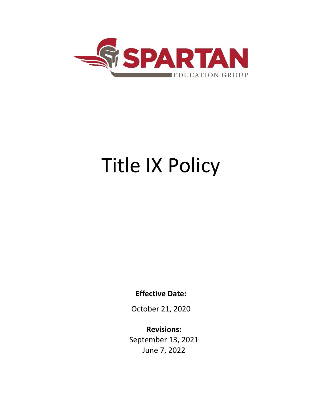

# Title IX Policy

**Effective Date:**

October 21, 2020

**Revisions:** September 13, 2021 June 7, 2022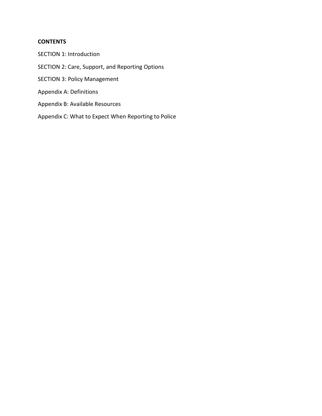# **CONTENTS**

SECTION 1: Introduction SECTION 2: Care, Support, and Reporting Options SECTION 3: Policy Management Appendix A: Definitions Appendix B: Available Resources Appendix C: What to Expect When Reporting to Police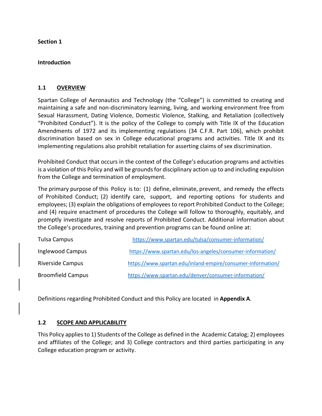**Section 1**

#### **Introduction**

#### **1.1 OVERVIEW**

Spartan College of Aeronautics and Technology (the "College") is committed to creating and maintaining a safe and non-discriminatory learning, living, and working environment free from Sexual Harassment, Dating Violence, Domestic Violence, Stalking, and Retaliation (collectively "Prohibited Conduct"). It is the policy of the College to comply with Title IX of the Education Amendments of 1972 and its implementing regulations (34 C.F.R. Part 106), which prohibit discrimination based on sex in College educational programs and activities. Title IX and its implementing regulations also prohibit retaliation for asserting claims of sex discrimination.

Prohibited Conduct that occurs in the context of the College's education programs and activities is a violation of this Policy and will be grounds for disciplinary action up to and including expulsion from the College and termination of employment.

The primary purpose of this Policy is to: (1) define, eliminate, prevent, and remedy the effects of Prohibited Conduct; (2) identify care, support, and reporting options for students and employees; (3) explain the obligations of employees to report Prohibited Conduct to the College; and (4) require enactment of procedures the College will follow to thoroughly, equitably, and promptly investigate and resolve reports of Prohibited Conduct. Additional information about the College's procedures, training and prevention programs can be found online at:

| Tulsa Campus             | https://www.spartan.edu/tulsa/consumer-information/         |
|--------------------------|-------------------------------------------------------------|
| Inglewood Campus         | https://www.spartan.edu/los-angeles/consumer-information/   |
| Riverside Campus         | https://www.spartan.edu/inland-empire/consumer-information/ |
| <b>Broomfield Campus</b> | https://www.spartan.edu/denver/consumer-information/        |

Definitions regarding Prohibited Conduct and this Policy are located in **Appendix A**.

#### **1.2 SCOPE AND APPLICABILITY**

This Policy appliesto 1) Students of the College as defined in the Academic Catalog; 2) employees and affiliates of the College; and 3) College contractors and third parties participating in any College education program or activity.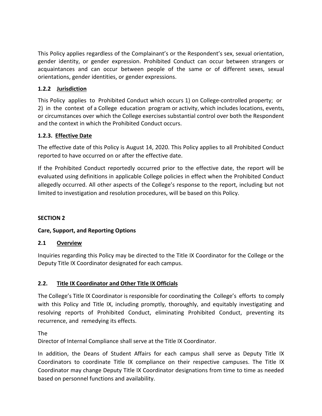This Policy applies regardless of the Complainant's or the Respondent's sex, sexual orientation, gender identity, or gender expression. Prohibited Conduct can occur between strangers or acquaintances and can occur between people of the same or of different sexes, sexual orientations, gender identities, or gender expressions.

# **1.2.2 Jurisdiction**

This Policy applies to Prohibited Conduct which occurs 1) on College-controlled property; or 2) in the context of a College education program or activity, which includes locations, events, or circumstances over which the College exercises substantial control over both the Respondent and the context in which the Prohibited Conduct occurs.

# **1.2.3. Effective Date**

The effective date of this Policy is August 14, 2020. This Policy applies to all Prohibited Conduct reported to have occurred on or after the effective date.

If the Prohibited Conduct reportedly occurred prior to the effective date, the report will be evaluated using definitions in applicable College policies in effect when the Prohibited Conduct allegedly occurred. All other aspects of the College's response to the report, including but not limited to investigation and resolution procedures, will be based on this Policy.

# **SECTION 2**

# **Care, Support, and Reporting Options**

# **2.1 Overview**

Inquiries regarding this Policy may be directed to the Title IX Coordinator for the College or the Deputy Title IX Coordinator designated for each campus.

# **2.2. Title IX Coordinator and Other Title IX Officials**

The College's Title IX Coordinator is responsible for coordinating the College's efforts to comply with this Policy and Title IX, including promptly, thoroughly, and equitably investigating and resolving reports of Prohibited Conduct, eliminating Prohibited Conduct, preventing its recurrence, and remedying its effects.

The

Director of Internal Compliance shall serve at the Title IX Coordinator.

In addition, the Deans of Student Affairs for each campus shall serve as Deputy Title IX Coordinators to coordinate Title IX compliance on their respective campuses. The Title IX Coordinator may change Deputy Title IX Coordinator designations from time to time as needed based on personnel functions and availability.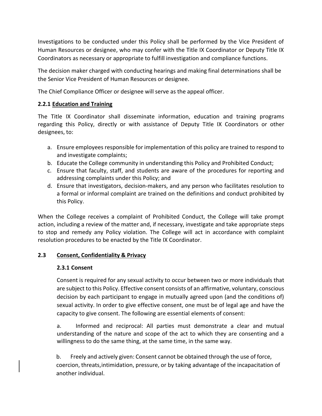Investigations to be conducted under this Policy shall be performed by the Vice President of Human Resources or designee, who may confer with the Title IX Coordinator or Deputy Title IX Coordinators as necessary or appropriate to fulfill investigation and compliance functions.

The decision maker charged with conducting hearings and making final determinations shall be the Senior Vice President of Human Resources or designee.

The Chief Compliance Officer or designee will serve as the appeal officer.

# **2.2.1 Education and Training**

The Title IX Coordinator shall disseminate information, education and training programs regarding this Policy, directly or with assistance of Deputy Title IX Coordinators or other designees, to:

- a. Ensure employees responsible for implementation of this policy are trained to respond to and investigate complaints;
- b. Educate the College community in understanding this Policy and Prohibited Conduct;
- c. Ensure that faculty, staff, and students are aware of the procedures for reporting and addressing complaints under this Policy; and
- d. Ensure that investigators, decision-makers, and any person who facilitates resolution to a formal or informal complaint are trained on the definitions and conduct prohibited by this Policy.

When the College receives a complaint of Prohibited Conduct, the College will take prompt action, including a review of the matter and, if necessary, investigate and take appropriate steps to stop and remedy any Policy violation. The College will act in accordance with complaint resolution procedures to be enacted by the Title IX Coordinator.

# **2.3 Consent, Confidentiality & Privacy**

# **2.3.1 Consent**

Consent is required for any sexual activity to occur between two or more individuals that are subject to this Policy. Effective consent consists of an affirmative, voluntary, conscious decision by each participant to engage in mutually agreed upon (and the conditions of) sexual activity. In order to give effective consent, one must be of legal age and have the capacity to give consent. The following are essential elements of consent:

a. Informed and reciprocal: All parties must demonstrate a clear and mutual understanding of the nature and scope of the act to which they are consenting and a willingness to do the same thing, at the same time, in the same way.

b. Freely and actively given: Consent cannot be obtained through the use of force, coercion, threats,intimidation, pressure, or by taking advantage of the incapacitation of another individual.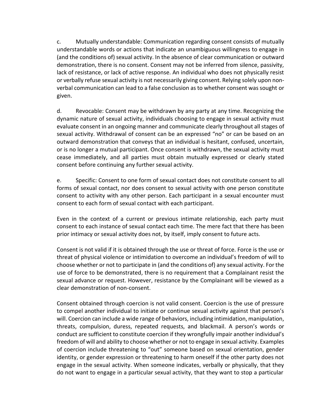c. Mutually understandable: Communication regarding consent consists of mutually understandable words or actions that indicate an unambiguous willingness to engage in (and the conditions of) sexual activity. In the absence of clear communication or outward demonstration, there is no consent. Consent may not be inferred from silence, passivity, lack of resistance, or lack of active response. An individual who does not physically resist or verbally refuse sexual activity is not necessarily giving consent. Relying solely upon nonverbal communication can lead to a false conclusion as to whether consent was sought or given.

d. Revocable: Consent may be withdrawn by any party at any time. Recognizing the dynamic nature of sexual activity, individuals choosing to engage in sexual activity must evaluate consent in an ongoing manner and communicate clearly throughout all stages of sexual activity. Withdrawal of consent can be an expressed "no" or can be based on an outward demonstration that conveys that an individual is hesitant, confused, uncertain, or is no longer a mutual participant. Once consent is withdrawn, the sexual activity must cease immediately, and all parties must obtain mutually expressed or clearly stated consent before continuing any further sexual activity.

e. Specific: Consent to one form of sexual contact does not constitute consent to all forms of sexual contact, nor does consent to sexual activity with one person constitute consent to activity with any other person. Each participant in a sexual encounter must consent to each form of sexual contact with each participant.

Even in the context of a current or previous intimate relationship, each party must consent to each instance of sexual contact each time. The mere fact that there has been prior intimacy or sexual activity does not, by itself, imply consent to future acts.

Consent is not valid if it is obtained through the use or threat of force. Force is the use or threat of physical violence or intimidation to overcome an individual's freedom of will to choose whether or not to participate in (and the conditions of) any sexual activity. For the use of force to be demonstrated, there is no requirement that a Complainant resist the sexual advance or request. However, resistance by the Complainant will be viewed as a clear demonstration of non-consent.

Consent obtained through coercion is not valid consent. Coercion is the use of pressure to compel another individual to initiate or continue sexual activity against that person's will. Coercion can include a wide range of behaviors, including intimidation, manipulation, threats, compulsion, duress, repeated requests, and blackmail. A person's words or conduct are sufficient to constitute coercion if they wrongfully impair another individual's freedom of will and ability to choose whether or not to engage in sexual activity. Examples of coercion include threatening to "out" someone based on sexual orientation, gender identity, or gender expression or threatening to harm oneself if the other party does not engage in the sexual activity. When someone indicates, verbally or physically, that they do not want to engage in a particular sexual activity, that they want to stop a particular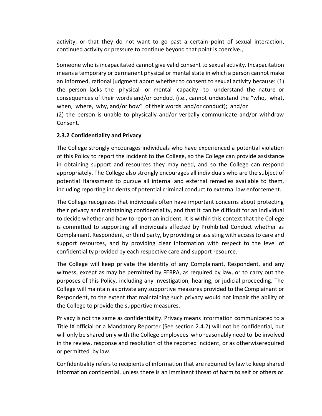activity, or that they do not want to go past a certain point of sexual interaction, continued activity or pressure to continue beyond that point is coercive.,

Someone who is incapacitated cannot give valid consent to sexual activity. Incapacitation means a temporary or permanent physical or mental state in which a person cannot make an informed, rational judgment about whether to consent to sexual activity because: (1) the person lacks the physical or mental capacity to understand the nature or consequences of their words and/or conduct (i.e., cannot understand the "who, what, when, where, why, and/or how" of their words and/or conduct); and/or (2) the person is unable to physically and/or verbally communicate and/or withdraw Consent.

## **2.3.2 Confidentiality and Privacy**

The College strongly encourages individuals who have experienced a potential violation of this Policy to report the incident to the College, so the College can provide assistance in obtaining support and resources they may need, and so the College can respond appropriately. The College also strongly encourages all individuals who are the subject of potential Harassment to pursue all internal and external remedies available to them, including reporting incidents of potential criminal conduct to external law enforcement.

The College recognizes that individuals often have important concerns about protecting their privacy and maintaining confidentiality, and that it can be difficult for an individual to decide whether and how to report an incident. It is within this context that the College is committed to supporting all individuals affected by Prohibited Conduct whether as Complainant, Respondent, or third party, by providing or assisting with access to care and support resources, and by providing clear information with respect to the level of confidentiality provided by each respective care and support resource.

The College will keep private the identity of any Complainant, Respondent, and any witness, except as may be permitted by FERPA, as required by law, or to carry out the purposes of this Policy, including any investigation, hearing, or judicial proceeding. The College will maintain as private any supportive measures provided to the Complainant or Respondent, to the extent that maintaining such privacy would not impair the ability of the College to provide the supportive measures.

Privacy is not the same as confidentiality. Privacy means information communicated to a Title IX official or a Mandatory Reporter (See section 2.4.2) will not be confidential, but will only be shared only with the College employees who reasonably need to be involved in the review, response and resolution of the reported incident, or as otherwiserequired or permitted by law.

Confidentiality refers to recipients of information that are required by law to keep shared information confidential, unless there is an imminent threat of harm to self or others or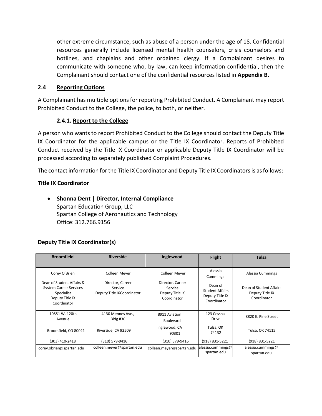other extreme circumstance, such as abuse of a person under the age of 18. Confidential resources generally include licensed mental health counselors, crisis counselors and hotlines, and chaplains and other ordained clergy. If a Complainant desires to communicate with someone who, by law, can keep information confidential, then the Complainant should contact one of the confidential resources listed in **Appendix B**.

## **2.4 Reporting Options**

A Complainant has multiple optionsfor reporting Prohibited Conduct. A Complainant may report Prohibited Conduct to the College, the police, to both, or neither.

# **2.4.1. Report to the College**

A person who wants to report Prohibited Conduct to the College should contact the Deputy Title IX Coordinator for the applicable campus or the Title IX Coordinator. Reports of Prohibited Conduct received by the Title IX Coordinator or applicable Deputy Title IX Coordinator will be processed according to separately published Complaint Procedures.

The contact information for the Title IX Coordinator and Deputy Title IX Coordinators is as follows:

# **Title IX Coordinator**

• **Shonna Dent | Director, Internal Compliance** Spartan Education Group, LLC Spartan College of Aeronautics and Technology Office: 312.766.9156

# **Deputy Title IX Coordinator(s)**

| <b>Broomfield</b>                                                                                          | <b>Riverside</b>                                          | Inglewood                                                     | <b>Flight</b>                                                       | <b>Tulsa</b>                                              |
|------------------------------------------------------------------------------------------------------------|-----------------------------------------------------------|---------------------------------------------------------------|---------------------------------------------------------------------|-----------------------------------------------------------|
| Corey O'Brien                                                                                              | Colleen Meyer                                             | Colleen Meyer                                                 | Alessia<br>Cummings                                                 | Alessia Cummings                                          |
| Dean of Student Affairs &<br><b>System Career Services</b><br>Specialist<br>Deputy Title IX<br>Coordinator | Director, Career<br>Service<br>Deputy Title IXCoordinator | Director, Career<br>Service<br>Deputy Title IX<br>Coordinator | Dean of<br><b>Student Affairs</b><br>Deputy Title IX<br>Coordinator | Dean of Student Affairs<br>Deputy Title IX<br>Coordinator |
| 10851 W. 120th<br>Avenue                                                                                   | 4130 Mennes Ave.,<br>Bldg #36                             | 8911 Aviation<br><b>Boulevard</b>                             | 123 Cessna<br>Drive                                                 | 8820 E. Pine Street                                       |
| Broomfield, CO 80021                                                                                       | Riverside, CA 92509                                       | Inglewood, CA<br>90301                                        | Tulsa, OK<br>74132                                                  | Tulsa, OK 74115                                           |
| (303) 410-2418                                                                                             | (310) 579-9416                                            | (310) 579-9416                                                | (918) 831-5221                                                      | (918) 831-5221                                            |
| corey.obrien@spartan.edu                                                                                   | colleen.meyer@spartan.edu                                 | colleen.meyer@spartan.edu                                     | alessia.cummings@<br>spartan.edu                                    | alessia.cummings@<br>spartan.edu                          |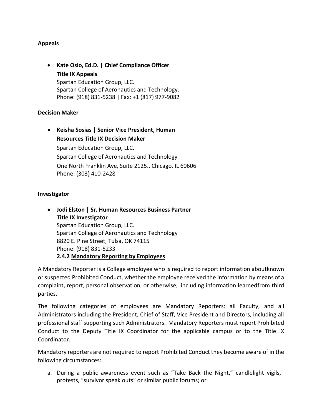## **Appeals**

• **Kate Osio, Ed.D. | Chief Compliance Officer Title IX Appeals** Spartan Education Group, LLC. Spartan College of Aeronautics and Technology. Phone: (918) 831-5238 | Fax: +1 (817) 977-9082

## **Decision Maker**

• **Keisha Sosias | Senior Vice President, Human Resources Title IX Decision Maker** Spartan Education Group, LLC. Spartan College of Aeronautics and Technology One North Franklin Ave, Suite 2125., Chicago, IL 60606 Phone: (303) 410-2428

#### **Investigator**

• **Jodi Elston | Sr. Human Resources Business Partner Title IX Investigator** Spartan Education Group, LLC. Spartan College of Aeronautics and Technology 8820 E. Pine Street, Tulsa, OK 74115 Phone: (918) 831-5233 **2.4.2 Mandatory Reporting by Employees**

A Mandatory Reporter is a College employee who is required to report information aboutknown or suspected Prohibited Conduct, whether the employee received the information by means of a complaint, report, personal observation, or otherwise, including information learnedfrom third parties.

The following categories of employees are Mandatory Reporters: all Faculty, and all Administrators including the President, Chief of Staff, Vice President and Directors, including all professional staff supporting such Administrators. Mandatory Reporters must report Prohibited Conduct to the Deputy Title IX Coordinator for the applicable campus or to the Title IX Coordinator.

Mandatory reporters are not required to report Prohibited Conduct they become aware of in the following circumstances:

a. During a public awareness event such as "Take Back the Night," candlelight vigils, protests, "survivor speak outs" or similar public forums; or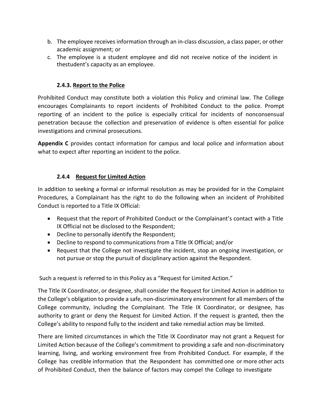- b. The employee receives information through an in-class discussion, a class paper, or other academic assignment; or
- c. The employee is a student employee and did not receive notice of the incident in thestudent's capacity as an employee.

# **2.4.3. Report to the Police**

Prohibited Conduct may constitute both a violation this Policy and criminal law. The College encourages Complainants to report incidents of Prohibited Conduct to the police. Prompt reporting of an incident to the police is especially critical for incidents of nonconsensual penetration because the collection and preservation of evidence is often essential for police investigations and criminal prosecutions.

**Appendix C** provides contact information for campus and local police and information about what to expect after reporting an incident to the police.

# **2.4.4 Request for Limited Action**

In addition to seeking a formal or informal resolution as may be provided for in the Complaint Procedures, a Complainant has the right to do the following when an incident of Prohibited Conduct is reported to a Title IX Official:

- Request that the report of Prohibited Conduct or the Complainant's contact with a Title IX Official not be disclosed to the Respondent;
- Decline to personally identify the Respondent;
- Decline to respond to communications from a Title IX Official; and/or
- Request that the College not investigate the incident, stop an ongoing investigation, or not pursue or stop the pursuit of disciplinary action against the Respondent.

Such a request is referred to in this Policy as a "Request for Limited Action."

The Title IX Coordinator, or designee, shall consider the Request for Limited Action in addition to the College's obligation to provide a safe, non-discriminatory environment for all members of the College community, including the Complainant. The Title IX Coordinator, or designee, has authority to grant or deny the Request for Limited Action. If the request is granted, then the College's ability to respond fully to the incident and take remedial action may be limited.

There are limited circumstances in which the Title IX Coordinator may not grant a Request for Limited Action because of the College's commitment to providing a safe and non-discriminatory learning, living, and working environment free from Prohibited Conduct. For example, if the College has credible information that the Respondent has committed one or more other acts of Prohibited Conduct, then the balance of factors may compel the College to investigate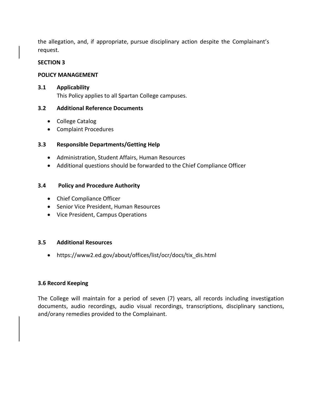the allegation, and, if appropriate, pursue disciplinary action despite the Complainant's request.

#### **SECTION 3**

## **POLICY MANAGEMENT**

## **3.1 Applicability**

This Policy applies to all Spartan College campuses.

## **3.2 Additional Reference Documents**

- College Catalog
- Complaint Procedures

## **3.3 Responsible Departments/Getting Help**

- Administration, Student Affairs, Human Resources
- Additional questions should be forwarded to the Chief Compliance Officer

## **3.4 Policy and Procedure Authority**

- Chief Compliance Officer
- Senior Vice President, Human Resources
- Vice President, Campus Operations

#### **3.5 Additional Resources**

• https://www2.ed.gov/about/offices/list/ocr/docs/tix\_dis.html

#### **3.6 Record Keeping**

The College will maintain for a period of seven (7) years, all records including investigation documents, audio recordings, audio visual recordings, transcriptions, disciplinary sanctions, and/orany remedies provided to the Complainant.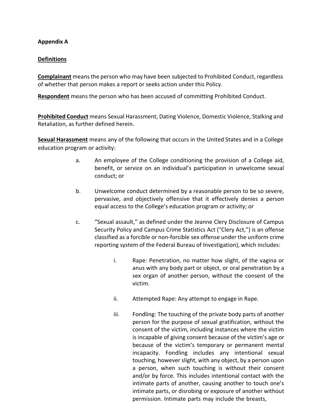#### **Appendix A**

## **Definitions**

**Complainant** meansthe person who may have been subjected to Prohibited Conduct, regardless of whether that person makes a report or seeks action under this Policy.

**Respondent** means the person who has been accused of committing Prohibited Conduct.

**Prohibited Conduct** means Sexual Harassment, Dating Violence, Domestic Violence, Stalking and Retaliation, as further defined herein.

**Sexual Harassment** means any of the following that occurs in the United States and in a College education program or activity:

- a. An employee of the College conditioning the provision of a College aid, benefit, or service on an individual's participation in unwelcome sexual conduct; or
- b. Unwelcome conduct determined by a reasonable person to be so severe, pervasive, and objectively offensive that it effectively denies a person equal access to the College's education program or activity; or
- c. "Sexual assault," as defined under the Jeanne Clery Disclosure of Campus Security Policy and Campus Crime Statistics Act ("Clery Act,") is an offense classified as a forcible or non-forcible sex offense under the uniform crime reporting system of the Federal Bureau of Investigation), which includes:
	- i. Rape: Penetration, no matter how slight, of the vagina or anus with any body part or object, or oral penetration by a sex organ of another person, without the consent of the victim.
	- ii. Attempted Rape: Any attempt to engage in Rape.
	- iii. Fondling: The touching of the private body parts of another person for the purpose of sexual gratification, without the consent of the victim, including instances where the victim is incapable of giving consent because of the victim's age or because of the victim's temporary or permanent mental incapacity. Fondling includes any intentional sexual touching, however slight, with any object, by a person upon a person, when such touching is without their consent and/or by force. This includes intentional contact with the intimate parts of another, causing another to touch one's intimate parts, or disrobing or exposure of another without permission. Intimate parts may include the breasts,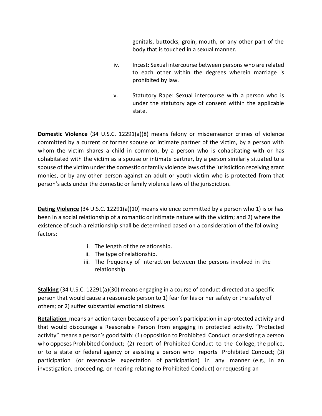genitals, buttocks, groin, mouth, or any other part of the body that is touched in a sexual manner.

- iv. Incest: Sexual intercourse between persons who are related to each other within the degrees wherein marriage is prohibited by law.
- v. Statutory Rape: Sexual intercourse with a person who is under the statutory age of consent within the applicable state.

**Domestic Violence** (34 U.S.C. 12291(a)(8) means felony or misdemeanor crimes of violence committed by a current or former spouse or intimate partner of the victim, by a person with whom the victim shares a child in common, by a person who is cohabitating with or has cohabitated with the victim as a spouse or intimate partner, by a person similarly situated to a spouse of the victim under the domestic or family violence laws of the jurisdiction receiving grant monies, or by any other person against an adult or youth victim who is protected from that person's acts under the domestic or family violence laws of the jurisdiction.

**Dating Violence** (34 U.S.C. 12291(a)(10) means violence committed by a person who 1) is or has been in a social relationship of a romantic or intimate nature with the victim; and 2) where the existence of such a relationship shall be determined based on a consideration of the following factors:

- i. The length of the relationship.
- ii. The type of relationship.
- iii. The frequency of interaction between the persons involved in the relationship.

**Stalking** (34 U.S.C. 12291(a)(30) means engaging in a course of conduct directed at a specific person that would cause a reasonable person to 1) fear for his or her safety or the safety of others; or 2) suffer substantial emotional distress.

**Retaliation** means an action taken because of a person's participation in a protected activity and that would discourage a Reasonable Person from engaging in protected activity. "Protected activity" means a person's good faith: (1) opposition to Prohibited Conduct or assisting a person who opposes Prohibited Conduct; (2) report of Prohibited Conduct to the College, the police, or to a state or federal agency or assisting a person who reports Prohibited Conduct; (3) participation (or reasonable expectation of participation) in any manner (e.g., in an investigation, proceeding, or hearing relating to Prohibited Conduct) or requesting an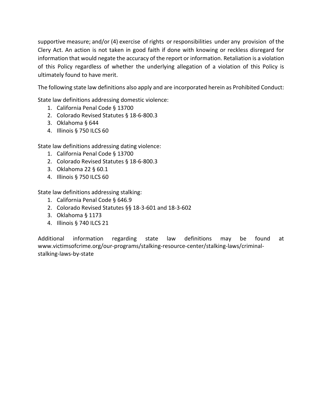supportive measure; and/or (4) exercise of rights or responsibilities under any provision of the Clery Act. An action is not taken in good faith if done with knowing or reckless disregard for information that would negate the accuracy of the report or information. Retaliation is a violation of this Policy regardless of whether the underlying allegation of a violation of this Policy is ultimately found to have merit.

The following state law definitions also apply and are incorporated herein as Prohibited Conduct:

State law definitions addressing domestic violence:

- 1. California Penal Code § 13700
- 2. Colorado Revised Statutes § 18-6-800.3
- 3. Oklahoma § 644
- 4. Illinois § 750 ILCS 60

State law definitions addressing dating violence:

- 1. California Penal Code § 13700
- 2. Colorado Revised Statutes § 18-6-800.3
- 3. Oklahoma 22 § 60.1
- 4. Illinois § 750 ILCS 60

State law definitions addressing stalking:

- 1. California Penal Code § 646.9
- 2. Colorado Revised Statutes §§ 18-3-601 and 18-3-602
- 3. Oklahoma § 1173
- 4. Illinois § 740 ILCS 21

Additional information regarding state law definitions may be found at [www.victimsofcrime.org/our-programs/stalking-resource-center/stalking-laws/criminal](http://www.victimsofcrime.org/our-programs/stalking-resource-center/stalking-laws/criminal-)stalking-laws-by-state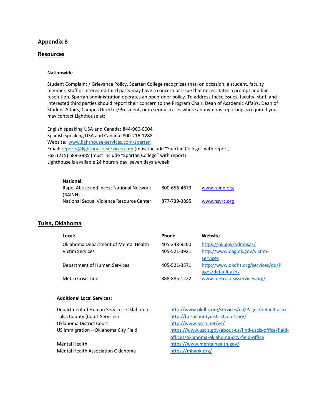#### **Appendix B**

#### **Resources**

#### **Nationwide**

Student Complaint / Grievance Policy, Spartan College recognizes that, on occasion, a student, faculty member, staff or interested third party may have a concern or issue that necessitates a prompt and fair resolution. Spartan administration operates an open-door policy. To address these issues, faculty, staff, and interested third parties should report their concern to the Program Chair, Dean of Academic Affairs, Dean of Student Affairs, Campus Director/President, or in serious cases where anonymous reporting is required you may contact Lighthouse at:

English speaking USA and Canada: 844-960-0004 Spanish speaking USA and Canada: 800-216-1288 Website: [www.lighthouse-services.com/spartan](http://www.lighthouse-services.com/spartan) Email: [reports@lighthouse-services.com](mailto:reports@lighthouse-services.com) (must include "Spartan College" with report) Fax: (215) 689-3885 (must include "Spartan College" with report) Lighthouse is available 24 hours a day, seven days a week.

#### **National:**

| (RAINN)                                  | 800-656-4673 | www.rainn.org |
|------------------------------------------|--------------|---------------|
| National Sexual Violence Resource Center | 877-739-3895 | www.nsvrc.org |

#### **Tulsa, Oklahoma**

| Local:                                                         | <b>Phone</b>                 | Website                                                             |
|----------------------------------------------------------------|------------------------------|---------------------------------------------------------------------|
| Oklahoma Department of Mental Health<br><b>Victim Services</b> | 405-248-9200<br>405-521-3921 | https://ok.gov/odmhsas/<br>http://www.oag.ok.gov/victim-            |
| Department of Human Services                                   | 405-521-3571                 | services<br>http://www.okdhs.org/services/dd/P<br>ages/default.aspx |
| Metro Crisis Line                                              | 888-885-1222                 | www.metrocrisisservices.org/                                        |

#### **Additional Local Services:**

| Department of Human Services- Oklahoma | http://www.okdhs.org/services/dd/Pages/default.aspx     |
|----------------------------------------|---------------------------------------------------------|
| Tulsa County (Court Services)          | http://tulsacountydistrictcourt.org/                    |
| Oklahoma District Court                | http://www.oscn.net/v4/                                 |
| US Immigration - Oklahoma City Field   | https://www.uscis.gov/about-us/find-uscis-office/field- |
|                                        | offices/oklahoma-oklahoma-city-field-office             |
| Mental Health                          | https://www.mentalhealth.gov/                           |
| Mental Health Association Oklahoma     | https://mhaok.org/                                      |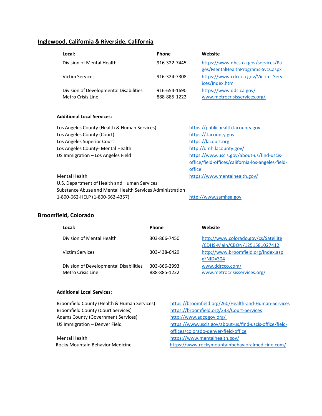# **Inglewood, California & Riverside, California**

| Local:                                 | <b>Phone</b> | Website                             |
|----------------------------------------|--------------|-------------------------------------|
| Division of Mental Health              | 916-322-7445 | https://www.dhcs.ca.gov/services/Pa |
|                                        |              | ges/MentalHealthPrograms-Svcs.aspx  |
| Victim Services                        | 916-324-7308 | https://www.cdcr.ca.gov/Victim Serv |
|                                        |              | ices/index.html                     |
| Division of Developmental Disabilities | 916-654-1690 | https://www.dds.ca.gov/             |
| Metro Crisis Line                      | 888-885-1222 | www.metrocrisisservices.org/        |

#### **Additional Local Services:**

| Los Angeles County (Health & Human Services)              | https://publichealth.lacounty.gov                  |
|-----------------------------------------------------------|----------------------------------------------------|
| Los Angeles County (Court)                                | https://.lacounty.gov                              |
| Los Angeles Superior Court                                | https://lacourt.org                                |
| Los Angeles County- Mental Health                         | http://dmh.lacounty.gov/                           |
| US Immigration - Los Angeles Field                        | https://www.uscis.gov/about-us/find-uscis-         |
|                                                           | office/field-offices/california-los-angeles-field- |
|                                                           | office                                             |
| Mental Health                                             | https://www.mentalhealth.gov/                      |
| U.S. Department of Health and Human Services              |                                                    |
| Substance Abuse and Mental Health Services Administration |                                                    |
| 1-800-662-HELP (1-800-662-4357)                           | http://www.samhsa.gov                              |

# **Broomfield, Colorado**

| Local:                                                      | <b>Phone</b>                 | Website                                                               |
|-------------------------------------------------------------|------------------------------|-----------------------------------------------------------------------|
| Division of Mental Health                                   | 303-866-7450                 | http://www.colorado.gov/cs/Satellite<br>/CDHS-Main/CBON/1251581027412 |
| Victim Services                                             | 303-438-6429                 | http://www.broomfield.org/index.asp<br>$x?$ NID=304                   |
| Division of Developmental Disabilities<br>Metro Crisis Line | 303-866-2993<br>888-885-1222 | www.ddrcco.com/<br>www.metrocrisisservices.org/                       |

#### **Additional Local Services:**

| Broomfield County (Health & Human Services) | https://broomfield.org/260/Health-and-Human-Services    |
|---------------------------------------------|---------------------------------------------------------|
| <b>Broomfield County (Court Services)</b>   | https://broomfield.org/233/Court-Services               |
| <b>Adams County (Government Services)</b>   | http://www.adcogov.org/                                 |
| US Immigration - Denver Field               | https://www.uscis.gov/about-us/find-uscis-office/field- |
|                                             | offices/colorado-denver-field-office                    |
| Mental Health                               | https://www.mentalhealth.gov/                           |

Rocky Mountain Behavior Medicine <https://www.rockymountainbehavioralmedicine.com/>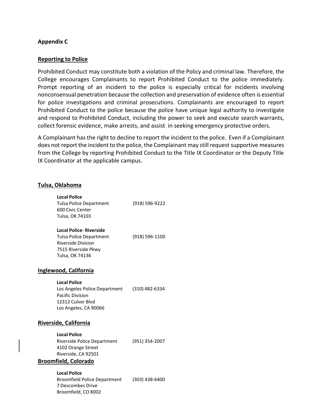#### **Appendix C**

#### **Reporting to Police**

Prohibited Conduct may constitute both a violation of the Policy and criminal law. Therefore, the College encourages Complainants to report Prohibited Conduct to the police immediately. Prompt reporting of an incident to the police is especially critical for incidents involving nonconsensual penetration because the collection and preservation of evidence often is essential for police investigations and criminal prosecutions. Complainants are encouraged to report Prohibited Conduct to the police because the police have unique legal authority to investigate and respond to Prohibited Conduct, including the power to seek and execute search warrants, collect forensic evidence, make arrests, and assist in seeking emergency protective orders.

A Complainant has the right to decline to report the incident to the police. Even if a Complainant does not report the incident to the police, the Complainant may still request supportive measures from the College by reporting Prohibited Conduct to the Title IX Coordinator or the Deputy Title IX Coordinator at the applicable campus.

#### **Tulsa, Oklahoma**

| <b>Local Police</b><br>Tulsa Police Department<br>600 Civic Center<br>Tulsa, OK 74103                                                   | (918) 596-9222 |
|-----------------------------------------------------------------------------------------------------------------------------------------|----------------|
| <b>Local Police- Riverside</b><br><b>Tulsa Police Department</b><br><b>Riverside Division</b><br>7515 Riverside Pkwy<br>Tulsa, OK 74136 | (918) 596-1100 |
| vood, California                                                                                                                        |                |
| <b>Local Police</b><br>Los Angeles Police Department<br><b>Pacific Division</b><br>12312 Culver Blvd<br>Los Angeles, CA 90066           | (310) 482-6334 |
| ide, California                                                                                                                         |                |

#### **Inglew**

#### **Riversi**

**Local Police** Riverside Police Department (951) 354-2007 4102 Orange Street Riverside, CA 92501

#### **Broomfield, Colorado**

**Local Police** Broomfield Police Department (303) 438-6400 7 Descombes Drive Broomfield, CO 8002